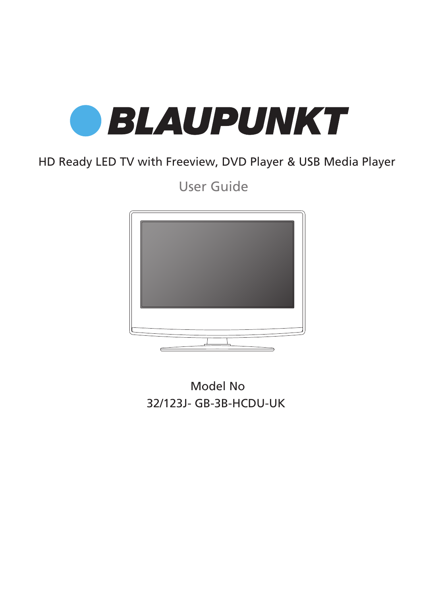

## HD Ready LED TV with Freeview, DVD Player & USB Media Player

User Guide



32/123J- GB-3B-HCDU-UK Model No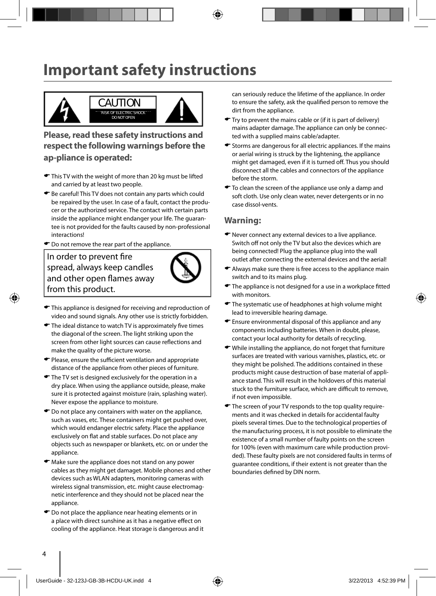# **Important safety instructions**



**Please, read these safety instructions and respect the following warnings before the ap-pliance is operated:**

- This TV with the weight of more than 20 kg must be lifted and carried by at least two people.
- Be careful! This TV does not contain any parts which could be repaired by the user. In case of a fault, contact the producer or the authorized service. The contact with certain parts inside the appliance might endanger your life. The guarantee is not provided for the faults caused by non-professional interactions!
- $\bullet$  Do not remove the rear part of the appliance.

In order to prevent fire spread, always keep candles and other open flames away from this product.



- $\blacktriangleright$  This appliance is designed for receiving and reproduction of video and sound signals. Any other use is strictly forbidden.
- $\blacktriangleright$  The ideal distance to watch TV is approximately five times the diagonal of the screen. The light striking upon the screen from other light sources can cause reflections and make the quality of the picture worse.
- $\blacktriangleright$  Please, ensure the sufficient ventilation and appropriate distance of the appliance from other pieces of furniture.
- The TV set is designed exclusively for the operation in a dry place. When using the appliance outside, please, make sure it is protected against moisture (rain, splashing water). Never expose the appliance to moisture.
- $\bullet$  Do not place any containers with water on the appliance, such as vases, etc. These containers might get pushed over, which would endanger electric safety. Place the appliance exclusively on flat and stable surfaces. Do not place any objects such as newspaper or blankets, etc. on or under the appliance.
- $\bullet$  Make sure the appliance does not stand on any power cables as they might get damaget. Mobile phones and other devices such as WLAN adapters, monitoring cameras with wireless signal transmission, etc. might cause electromagnetic interference and they should not be placed near the appliance.
- $\bullet$  Do not place the appliance near heating elements or in a place with direct sunshine as it has a negative effect on cooling of the appliance. Heat storage is dangerous and it

can seriously reduce the lifetime of the appliance. In order to ensure the safety, ask the qualified person to remove the dirt from the appliance.

- Try to prevent the mains cable or (if it is part of delivery) mains adapter damage. The appliance can only be connected with a supplied mains cable/adapter.
- $\blacktriangleright$  Storms are dangerous for all electric appliances. If the mains or aerial wiring is struck by the lightening, the appliance might get damaged, even if it is turned off. Thus you should disconnect all the cables and connectors of the appliance before the storm.
- $\bullet$  To clean the screen of the appliance use only a damp and soft cloth. Use only clean water, never detergents or in no case dissol-vents.

### **Warning:**

- ◆ Never connect any external devices to a live appliance. Switch off not only the TV but also the devices which are being connected! Plug the appliance plug into the wall outlet after connecting the external devices and the aerial!
- Always make sure there is free access to the appliance main switch and to its mains plug.
- $\blacktriangleright$  The appliance is not designed for a use in a workplace fitted with monitors.
- The systematic use of headphones at high volume might lead to irreversible hearing damage.
- Ensure environmental disposal of this appliance and any components including batteries. When in doubt, please, contact your local authority for details of recycling.
- While installing the appliance, do not forget that furniture surfaces are treated with various varnishes, plastics, etc. or they might be polished. The additions contained in these products might cause destruction of base material of appliance stand. This will result in the holdovers of this material stuck to the furniture surface, which are difficult to remove, if not even impossible.
- The screen of your TV responds to the top quality requirements and it was checked in details for accidental faulty pixels several times. Due to the technological properties of the manufacturing process, it is not possible to eliminate the existence of a small number of faulty points on the screen for 100% (even with maximum care while production provided). These faulty pixels are not considered faults in terms of guarantee conditions, if their extent is not greater than the boundaries defined by DIN norm.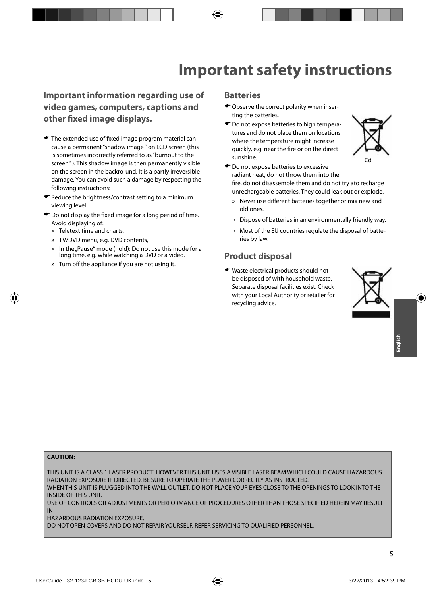### **Important information regarding use of video games, computers, captions and other fi xed image displays.**

- $\bullet$  The extended use of fixed image program material can cause a permanent "shadow image " on LCD screen (this is sometimes incorrectly referred to as "burnout to the screen" ). This shadow image is then permanently visible on the screen in the backro-und. It is a partly irreversible damage. You can avoid such a damage by respecting the following instructions:
- Reduce the brightness/contrast setting to a minimum viewing level.
- $\bullet$  Do not display the fixed image for a long period of time. Avoid displaying of:
	- » Teletext time and charts,
	- » TV/DVD menu, e.g. DVD contents,
	- » In the "Pause" mode (hold): Do not use this mode for a long time, e.g. while watching a DVD or a video.
	- » Turn off the appliance if you are not using it.

#### **Batteries**

- Observe the correct polarity when inserting the batteries.
- $\bullet$  Do not expose batteries to high temperatures and do not place them on locations where the temperature might increase quickly, e.g. near the fire or on the direct sunshine.



- $\bullet$  Do not expose batteries to excessive radiant heat, do not throw them into the fire, do not disassemble them and do not try ato recharge unrechargeable batteries. They could leak out or explode.
	- » Never use different batteries together or mix new and old ones.
	- » Dispose of batteries in an environmentally friendly way.
	- » Most of the EU countries regulate the disposal of batteries by law.

### **Product disposal**

Waste electrical products should not be disposed of with household waste. Separate disposal facilities exist. Check with your Local Authority or retailer for recycling advice.



#### **CAUTION:**

THIS UNIT IS A CLASS 1 LASER PRODUCT. HOWEVER THIS UNIT USES A VISIBLE LASER BEAM WHICH COULD CAUSE HAZARDOUS RADIATION EXPOSURE IF DIRECTED. BE SURE TO OPERATE THE PLAYER CORRECTLY AS INSTRUCTED. WHEN THIS UNIT IS PLUGGED INTO THE WALL OUTLET, DO NOT PLACE YOUR EYES CLOSE TO THE OPENINGS TO LOOK INTO THE

INSIDE OF THIS UNIT.

USE OF CONTROLS OR ADJUSTMENTS OR PERFORMANCE OF PROCEDURES OTHER THAN THOSE SPECIFIED HEREIN MAY RESULT IN

HAZARDOUS RADIATION EXPOSURE.

DO NOT OPEN COVERS AND DO NOT REPAIR YOURSELF. REFER SERVICING TO QUALIFIED PERSONNEL.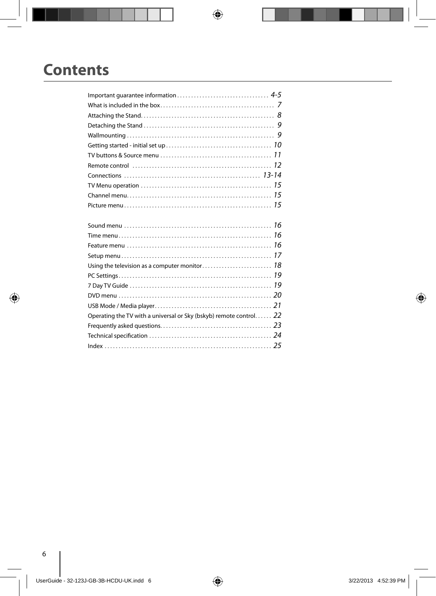# **Contents**

| TV buttons & Source menu $\ldots \ldots \ldots \ldots \ldots \ldots \ldots \ldots \ldots \ldots \ldots \ldots 11$ |  |
|-------------------------------------------------------------------------------------------------------------------|--|
|                                                                                                                   |  |
|                                                                                                                   |  |
|                                                                                                                   |  |
|                                                                                                                   |  |
|                                                                                                                   |  |
|                                                                                                                   |  |
|                                                                                                                   |  |
|                                                                                                                   |  |
|                                                                                                                   |  |
|                                                                                                                   |  |
|                                                                                                                   |  |
|                                                                                                                   |  |
|                                                                                                                   |  |
|                                                                                                                   |  |
|                                                                                                                   |  |
| Operating the TV with a universal or Sky (bskyb) remote control 22                                                |  |
|                                                                                                                   |  |
|                                                                                                                   |  |
|                                                                                                                   |  |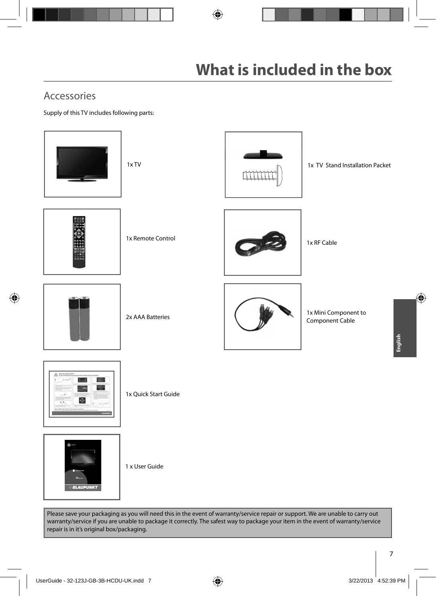## Accessories

Supply of this TV includes following parts:



Please save your packaging as you will need this in the event of warranty/service repair or support. We are unable to carry out warranty/service if you are unable to package it correctly. The safest way to package your item in the event of warranty/service repair is in it's original box/packaging.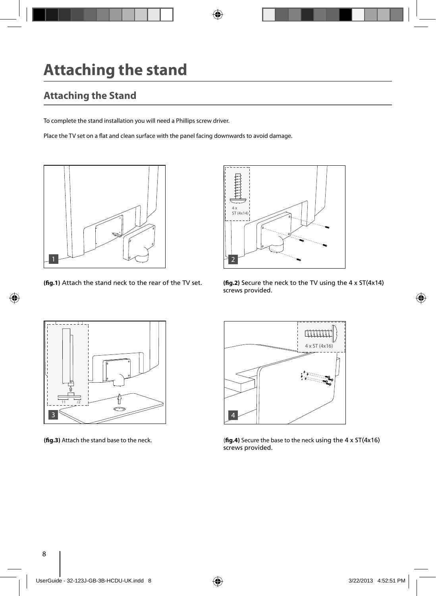# **Attaching the stand**

## **Attaching the Stand**

To complete the stand installation you will need a Phillips screw driver.

Place the TV set on a flat and clean surface with the panel facing downwards to avoid damage.





**(fig.1)** Attach the stand neck to the rear of the TV set. **(fig.2)** Secure the neck to the TV using the  $4 \times 5T(4 \times 14)$ screws provided.





**(fig.3)** Attach the stand base to the neck. (**fig.4)** Secure the base to the neck using the 4 x ST(4x16) screws provided.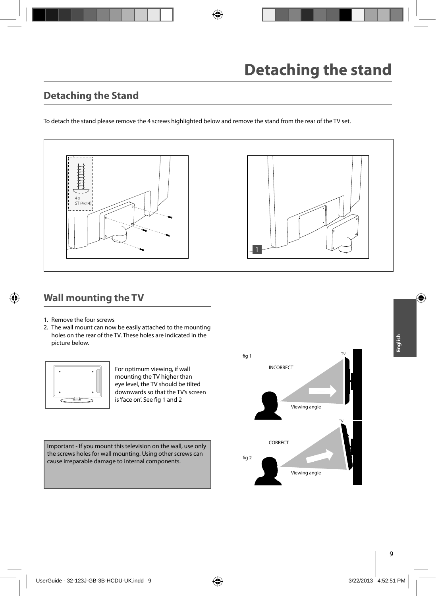### **Detaching the Stand**

To detach the stand please remove the 4 screws highlighted below and remove the stand from the rear of the TV set.



### **Wall mounting the TV**

- 1. Remove the four screws
- 2. The wall mount can now be easily attached to the mounting holes on the rear of the TV. These holes are indicated in the picture below.



For optimum viewing, if wall mounting the TV higher than eye level, the TV should be tilted downwards so that the TV's screen is 'face on'. See fig 1 and 2

Important - If you mount this television on the wall, use only the screws holes for wall mounting. Using other screws can cause irreparable damage to internal components.

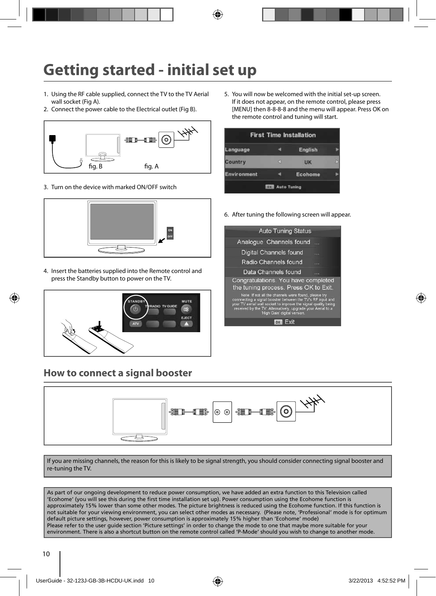# **Getting started - initial set up**

- 1. Using the RF cable supplied, connect the TV to the TV Aerial wall socket (Fig A).
- 2. Connect the power cable to the Electrical outlet (Fig B).



3. Turn on the device with marked ON/OFF switch



4. Insert the batteries supplied into the Remote control and press the Standby button to power on the TV.



### **How to connect a signal booster**

5. You will now be welcomed with the initial set-up screen. If it does not appear, on the remote control, please press [MENU] then 8-8-8-8 and the menu will appear. Press OK on the remote control and tuning will start.

| anguage            | English        |  |
|--------------------|----------------|--|
| Country            | UK             |  |
| <b>Environment</b> | <b>Ecohome</b> |  |

6. After tuning the following screen will appear.





If you are missing channels, the reason for this is likely to be signal strength, you should consider connecting signal booster and re-tuning the TV.

As part of our ongoing development to reduce power consumption, we have added an extra function to this Television called 'Ecohome' (you will see this during the first time installation set up). Power consumption using the Ecohome function is approximately 15% lower than some other modes. The picture brightness is reduced using the Ecohome function. If this function is not suitable for your viewing environment, you can select other modes as necessary. (Please note, 'Professional' mode is for optimum default picture settings, however, power consumption is approximately 15% higher than 'Ecohome' mode) Please refer to the user guide section 'Picture settings' in order to change the mode to one that maybe more suitable for your environment. There is also a shortcut button on the remote control called 'P-Mode' should you wish to change to another mode.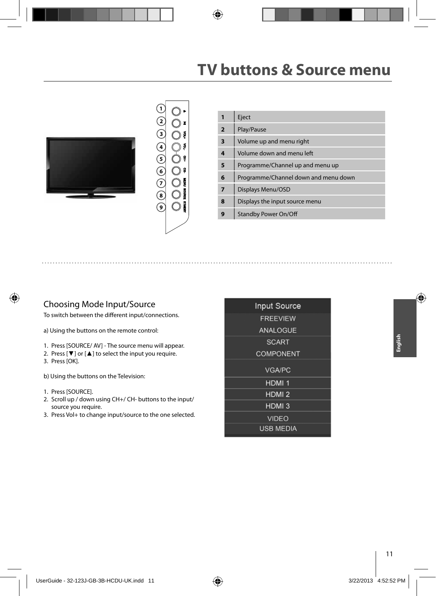# **TV buttons & Source menu**





|                | Eject                                |
|----------------|--------------------------------------|
| $\overline{2}$ | Play/Pause                           |
| 3              | Volume up and menu right             |
| 4              | Volume down and menu left            |
| 5              | Programme/Channel up and menu up     |
| 6              | Programme/Channel down and menu down |
| $\overline{7}$ | Displays Menu/OSD                    |
| 8              | Displays the input source menu       |
|                | <b>Standby Power On/Off</b>          |

### Choosing Mode Input/Source

To switch between the different input/connections.

a) Using the buttons on the remote control:

- 1. Press [SOURCE/ AV] The source menu will appear.
- 2. Press [▼] or [▲] to select the input you require.
- 3. Press [OK].

b) Using the buttons on the Television:

- 1. Press [SOURCE].
- 2. Scroll up / down using CH+/ CH- buttons to the input/ source you require.
- 3. Press Vol+ to change input/source to the one selected.

| <b>Input Source</b> |  |
|---------------------|--|
| <b>FREEVIEW</b>     |  |
| <b>ANALOGUE</b>     |  |
| <b>SCART</b>        |  |
| <b>COMPONENT</b>    |  |
| <b>VGA/PC</b>       |  |
| HDMI <sub>1</sub>   |  |
| HDMI <sub>2</sub>   |  |
| HDMI <sub>3</sub>   |  |
| <b>VIDEO</b>        |  |
| <b>USB MEDIA</b>    |  |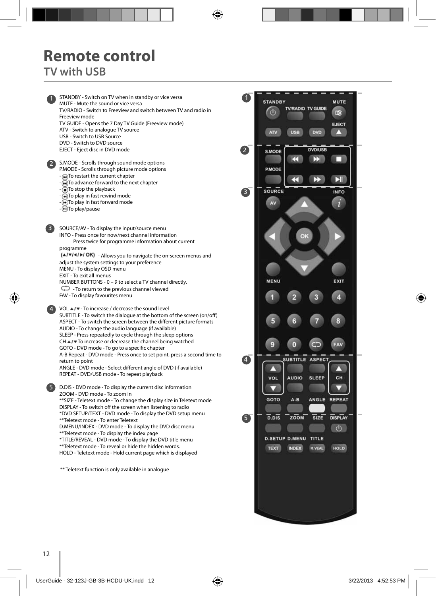## **Remote control TV with USB**

STANDBY - Switch on TV when in standby or vice versa 1 1 MUTE - Mute the sound or vice versa TV/RADIO - Switch to Freeview and switch between TV and radio in 7 Freeview mode TV GUIDE - Opens the 7 Day TV Guide (Freeview mode) ATV - Switch to analogue TV source USB - Switch to USB Source DVD - Switch to DVD source EJECT - Eject disc in DVD mode 2 S.MODE - Scrolls through sound mode options 2 P.MODE - Scrolls through picture mode options - To restart the current chapter To advance forward to the next chapter - To stop the playback 8 - To play in fast rewind mode  $\bullet$  To play in fast forward mode - To play/pause SOURCE/AV - To display the input/source menu 3 INFO - Press once for now/next channel information Press twice for programme information about current programme  $(A/\nabla/A)$  - Allows you to navigate the on-screen menus and adjust the system settings to your preference MENU - To display OSD menu EXIT - To exit all menus NUMBER BUTTONS - 0 – 9 to select a TV channel directly.  $\bigcirc$  - To return to the previous channel viewed FAV - To display favourites menu VOL ▲ / ▼ - To increase / decrease the sound level 4 SUBTITLE - To switch the dialogue at the bottom of the screen (on/off ) ASPECT - To switch the screen between the different picture formats AUDIO - To change the audio language (if available) SLEEP - Press repeatedly to cycle through the sleep options  $CH \triangle / \triangledown$  To increase or decrease the channel being watched g GOTO - DVD mode - To go to a specific chapter A-B Repeat - DVD mode - Press once to set point, press a second time to 4 return to point ANGLE - DVD mode - Select different angle of DVD (if available) л REPEAT - DVD/USB mode - To repeat playback 5 D.DIS - DVD mode - To display the current disc information ZOOM - DVD mode - To zoom in \*\*SIZE - Teletext mode - To change the display size in Teletext mode DISPLAY - To switch off the screen when listening to radio \*DVD SETUP/TEXT - DVD mode - To display the DVD setup menu 5 \*\*Teletext mode - To enter Teletext D.MENU/INDEX - DVD mode - To display the DVD disc menu \*\*Teletext mode - To display the index page \*TITLE/REVEAL - DVD mode - To display the DVD title menu \*\*Teletext mode - To reveal or hide the hidden words. HOLD - Teletext mode - Hold current page which is displayed \*\* Teletext function is only available in analogue

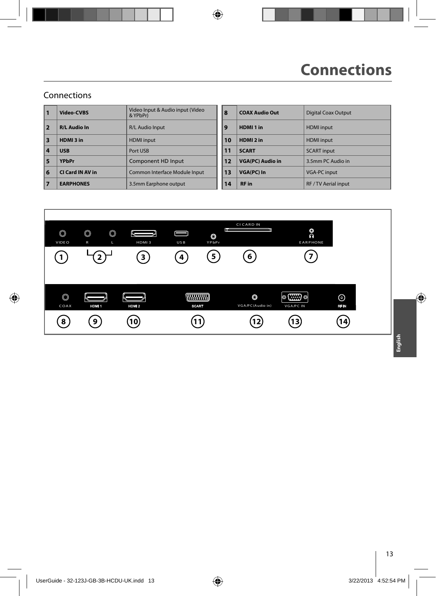### Connections

| 1                       | Video-CVBS          | Video Input & Audio input (Video<br>& YPbPr) | 8              | <b>COAX Audio Out</b>   | <b>Digital Coax Outpu</b> |
|-------------------------|---------------------|----------------------------------------------|----------------|-------------------------|---------------------------|
| $\overline{2}$          | <b>R/L Audio In</b> | R/L Audio Input                              | $\overline{9}$ | HDMI <sub>1</sub> in    | <b>HDMI</b> input         |
| $\overline{\mathbf{3}}$ | HDMI3 in            | <b>HDMI</b> input                            | 10             | HDMI <sub>2</sub> in    | <b>HDMI</b> input         |
| 4                       | <b>USB</b>          | Port USB                                     | 11             | <b>SCART</b>            | <b>SCART</b> input        |
| 5                       | <b>YPbPr</b>        | Component HD Input                           | 12             | <b>VGA(PC) Audio in</b> | 3.5mm PC Audio in         |
| 6                       | CI Card IN AV in    | Common Interface Module Input                | 13             | <b>VGA(PC) In</b>       | <b>VGA-PC input</b>       |
| 7                       | <b>EARPHONES</b>    | 3.5mm Earphone output                        | 14             | <b>RF</b> in            | RF / TV Aerial input      |

| Video Input & Audio input (Video<br>& YPbPr) | 8  | <b>COAX Audio Out</b>   | <b>Digital Coax Output</b> |
|----------------------------------------------|----|-------------------------|----------------------------|
| R/L Audio Input                              | 9  | HDMI <sub>1</sub> in    | <b>HDMI</b> input          |
| <b>HDMI</b> input                            | 10 | HDMI <sub>2</sub> in    | <b>HDMI</b> input          |
| Port USB                                     | 11 | <b>SCART</b>            | <b>SCART</b> input         |
| Component HD Input                           | 12 | <b>VGA(PC) Audio in</b> | 3.5mm PC Audio in          |
| Common Interface Module Input                | 13 | <b>VGA(PC) In</b>       | <b>VGA-PC input</b>        |
| 3.5mm Earphone output                        | 14 | <b>RF</b> in            | RF / TV Aerial input       |
|                                              |    |                         |                            |

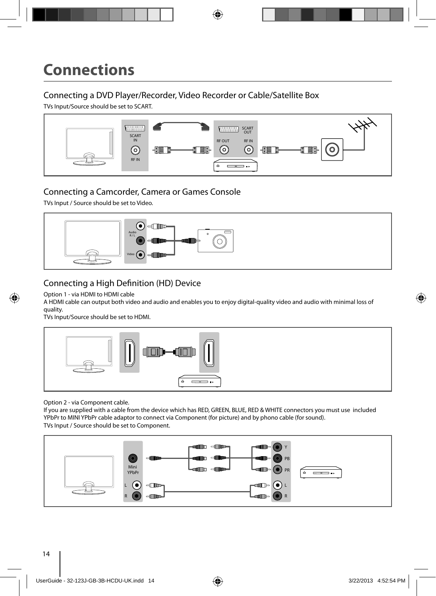### Connecting a DVD Player/Recorder, Video Recorder or Cable/Satellite Box

TVs Input/Source should be set to SCART.



### Connecting a Camcorder, Camera or Games Console

TVs Input / Source should be set to Video.



### Connecting a High Definition (HD) Device

Option 1 - via HDMI to HDMI cable

A HDMI cable can output both video and audio and enables you to enjoy digital-quality video and audio with minimal loss of quality.

TVs Input/Source should be set to HDMI.



Option 2 - via Component cable.

If you are supplied with a cable from the device which has RED, GREEN, BLUE, RED & WHITE connectors you must use included YPbPr to MINI YPbPr cable adaptor to connect via Component (for picture) and by phono cable (for sound). TVs Input / Source should be set to Component.

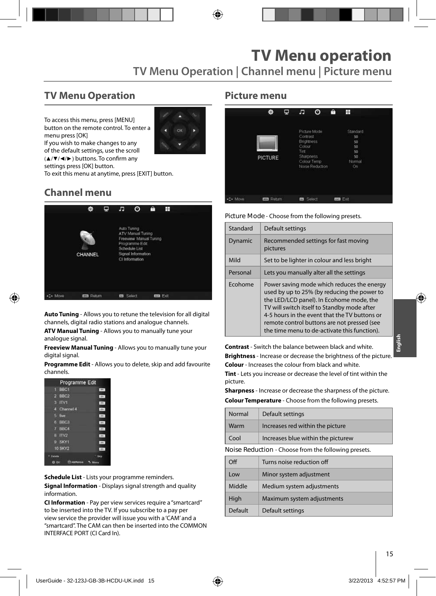### **TV Menu Operation**

To access this menu, press [MENU] button on the remote control. To enter a menu press [OK] If you wish to make changes to any



of the default settings, use the scroll (▲/▼/◀/►) buttons. To confirm any settings press [OK] button.

To exit this menu at anytime, press [EXIT] button.

## **Channel menu**



**Auto Tuning** - Allows you to retune the television for all digital channels, digital radio stations and analogue channels.

**ATV Manual Tuning** - Allows you to manually tune your analogue signal.

**Freeview Manual Tuning** - Allows you to manually tune your digital signal.

**Programme Edit** - Allows you to delete, skip and add favourite channels.

|           | Programme Edit        |            |
|-----------|-----------------------|------------|
|           | BBC1<br>п             | Lens.      |
|           | $2$ BBC <sub>2</sub>  | DV-        |
|           | TV1<br>л              | <b>TTT</b> |
|           | <b>Channel 4</b><br>п | 1079       |
|           | 5 five                | 1894       |
|           | 6 BBC3                | 100        |
|           | 7 BBC4                | $-004 -$   |
|           | B ITV2                | cent.      |
|           | 9 SKY1                | <b>DV</b>  |
|           | <b>10 SKY2</b>        | . pre-     |
| * Details |                       | Skia       |
|           | <b>O</b> at           |            |

**Schedule List** - Lists your programme reminders.

**Signal Information** - Displays signal strength and quality information.

**CI Information** - Pay per view services require a "smartcard" to be inserted into the TV. If you subscribe to a pay per view service the provider will issue you with a 'CAM' and a "smartcard". The CAM can then be inserted into the COMMON INTERFACE PORT (CI Card In).

### **Picture menu**

|         | ٠                | 딮 | л                                                                   | ര                                              | A | Ħ                                                      |  |
|---------|------------------|---|---------------------------------------------------------------------|------------------------------------------------|---|--------------------------------------------------------|--|
|         | <b>PICTURE</b>   |   | Contrast<br><b>Brightness</b><br>Colour<br>Tint<br><b>Sharpness</b> | Picture Mode<br>Colour Temp<br>Noise Reduction |   | Standard<br>50<br>50<br>50<br>50<br>50<br>Normal<br>On |  |
| ._ Move | <b>EE</b> Return |   | <b>EZ</b> Select                                                    |                                                |   | ton Ext                                                |  |

**Picture Mode** - Choose from the following presets.

| Standard | Default settings                                                                                                                                                                                                                                                                                                                     |
|----------|--------------------------------------------------------------------------------------------------------------------------------------------------------------------------------------------------------------------------------------------------------------------------------------------------------------------------------------|
| Dynamic  | Recommended settings for fast moving<br>pictures                                                                                                                                                                                                                                                                                     |
| Mild     | Set to be lighter in colour and less bright                                                                                                                                                                                                                                                                                          |
| Personal | Lets you manually alter all the settings                                                                                                                                                                                                                                                                                             |
| Ecohome  | Power saving mode which reduces the energy<br>used by up to 25% (by reducing the power to<br>the LED/LCD panel). In Ecohome mode, the<br>TV will switch itself to Standby mode after<br>4-5 hours in the event that the TV buttons or<br>remote control buttons are not pressed (see<br>the time menu to de-activate this function). |

**Contrast** - Switch the balance between black and white. **Brightness** - Increase or decrease the brightness of the picture. **Colour** - Increases the colour from black and white.

**Tint** - Lets you increase or decrease the level of tint within the picture.

**Sharpness** - Increase or decrease the sharpness of the picture.

**Colour Temperature** - Choose from the following presets.

| Normal | Default settings                   |
|--------|------------------------------------|
| Warm   | Increases red within the picture   |
| Cool   | Increases blue within the picturew |
|        |                                    |

**Noise Reduction** - Choose from the following presets.

| Ωff     | Turns noise reduction off  |
|---------|----------------------------|
| Low     | Minor system adjustment    |
| Middle  | Medium system adjustments  |
| High    | Maximum system adjustments |
| Default | Default settings           |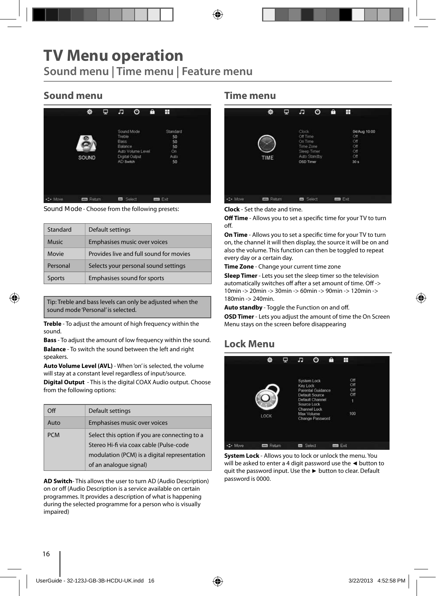## **TV Menu operation Sound menu | Time menu | Feature menu**

### **Sound menu**

|         | 餋                 | Φ | Æ                                              | O                                                 | A | Ŧ                                              |  |
|---------|-------------------|---|------------------------------------------------|---------------------------------------------------|---|------------------------------------------------|--|
|         | SOUND             |   | Treble.<br><b>Bass</b><br>Balance<br>AD Switch | Sound Mode<br>Auto Volume Level<br>Digital Output |   | Standard<br>50<br>50<br>50<br>On<br>Auto<br>50 |  |
| C+ Move | <b>ESS Return</b> |   | 0 <sub>z</sub>                                 | Select                                            |   | m Ext                                          |  |

**Sound Mode** - Choose from the following presets:

| Standard      | Default settings                        |
|---------------|-----------------------------------------|
| <b>Music</b>  | Emphasises music over voices            |
| Movie         | Provides live and full sound for movies |
| Personal      | Selects your personal sound settings    |
| <b>Sports</b> | Emphasises sound for sports             |

Tip: Treble and bass levels can only be adjusted when the sound mode 'Personal' is selected.

**Treble** - To adjust the amount of high frequency within the sound.

**Bass** - To adjust the amount of low frequency within the sound. **Balance** - To switch the sound between the left and right speakers.

**Auto Volume Level (AVL)** - When 'on' is selected, the volume will stay at a constant level regardless of input/source.

**Digital Output** - This is the digital COAX Audio output. Choose from the following options:

| $\Omega$   | Default settings                                                                                                                                                   |
|------------|--------------------------------------------------------------------------------------------------------------------------------------------------------------------|
| Auto       | <b>Emphasises music over voices</b>                                                                                                                                |
| <b>PCM</b> | Select this option if you are connecting to a<br>Stereo Hi-fi via coax cable (Pulse-code<br>modulation (PCM) is a digital representation<br>of an analogue signal) |

**AD Switch**- This allows the user to turn AD (Audio Description) on or off (Audio Description is a service available on certain programmes. It provides a description of what is happening during the selected programme for a person who is visually impaired)

#### **Time menu**

|          | ۰             | Φ | F                                                      | o                           | ê | H                                                                  |  |
|----------|---------------|---|--------------------------------------------------------|-----------------------------|---|--------------------------------------------------------------------|--|
|          | TIME          |   | Clock<br>Off Time<br>On Time<br>Time Zone<br>OSD Timer | Sleep Timer<br>Auto Standby |   | 04/Aug 10:00<br>Off<br>Off<br>Off<br>Off<br>Off<br>30 <sub>8</sub> |  |
| +2+ Move | <b>Return</b> |   | or                                                     | Select                      |   | <b>Time</b> Exit                                                   |  |

**Clock** - Set the date and time.

**Off Time** - Allows you to set a specific time for your TV to turn off.

**On Time** - Allows you to set a specific time for your TV to turn on, the channel it will then display, the source it will be on and also the volume. This function can then be toggled to repeat every day or a certain day.

**Time Zone** - Change your current time zone

**Sleep Timer** - Lets you set the sleep timer so the television automatically switches off after a set amount of time. Off -> 10min -> 20min -> 30min -> 60min -> 90min -> 120min -> 180min -> 240min.

Auto standby - Toggle the Function on and off.

**OSD Timer** - Lets you adjust the amount of time the On Screen Menu stays on the screen before disappearing

### **Lock Menu**



**System Lock** - Allows you to lock or unlock the menu. You will be asked to enter a 4 digit password use the **◄** button to quit the password input. Use the **►** button to clear. Default password is 0000.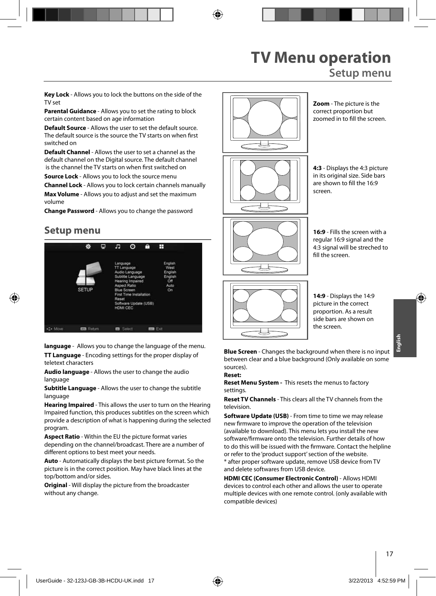## **TV Menu operation Setup menu**

**Key Lock** - Allows you to lock the buttons on the side of the TV set

**Parental Guidance** - Allows you to set the rating to block certain content based on age information

**Default Source** - Allows the user to set the default source. The default source is the source the TV starts on when first switched on

**Default Channel** - Allows the user to set a channel as the default channel on the Digital source. The default channel is the channel the TV starts on when first switched on

**Source Lock** - Allows you to lock the source menu

**Channel Lock** - Allows you to lock certain channels manually **Max Volume** - Allows you to adjust and set the maximum

volume **Change Password** - Allows you to change the password

### **Setup menu**



**language** - Allows you to change the language of the menu. **TT Language** - Encoding settings for the proper display of

teletext characters

**Audio language** - Allows the user to change the audio language

**Subtitle Language** - Allows the user to change the subtitle language

**Hearing Impaired** - This allows the user to turn on the Hearing Impaired function, this produces subtitles on the screen which provide a description of what is happening during the selected program.

**Aspect Ratio** - Within the EU the picture format varies depending on the channel/broadcast. There are a number of different options to best meet your needs.

**Auto** - Automatically displays the best picture format. So the picture is in the correct position. May have black lines at the top/bottom and/or sides.

**Original** - Will display the picture from the broadcaster without any change.



**Zoom** - The picture is the correct proportion but zoomed in to fill the screen.

**4:3** - Displays the 4:3 picture in its original size. Side bars are shown to fill the 16:9 screen.

**16:9** - Fills the screen with a regular 16:9 signal and the 4:3 signal will be streched to fill the screen.



**14:9** - Displays the 14:9 picture in the correct proportion. As a result side bars are shown on the screen.

**Blue Screen** - Changes the background when there is no input between clear and a blue background (Only available on some sources).

#### **Reset:**

**Reset Menu System -** This resets the menus to factory settings.

**Reset TV Channels** - This clears all the TV channels from the television.

**Software Update (USB)** - From time to time we may release new firmware to improve the operation of the television (available to download). This menu lets you install the new software/firmware onto the television. Further details of how to do this will be issued with the firmware. Contact the helpline or refer to the 'product support' section of the website. \* after proper software update, remove USB device from TV and delete softwares from USB device.

**HDMI CEC (Consumer Electronic Control)** - Allows HDMI devices to control each other and allows the user to operate multiple devices with one remote control. (only available with compatible devices)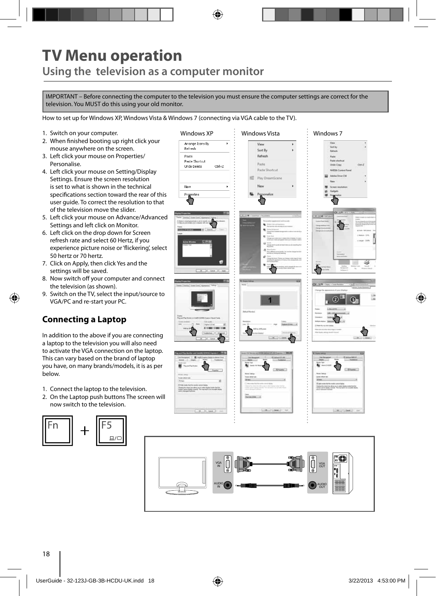# **TV Menu operation Using the television as a computer monitor**

IMPORTANT – Before connecting the computer to the television you must ensure the computer settings are correct for the television. You MUST do this using your old monitor.

How to set up for Windows XP, Windows Vista & Windows 7 (connecting via VGA cable to the TV).

- 1. Switch on your computer.
- 2. When finished booting up right click your mouse anywhere on the screen.
- 3. Left click your mouse on Properties/ Personalise.
- 4. Left click your mouse on Setting/Display Settings. Ensure the screen resolution is set to what is shown in the technical specifications section toward the rear of this user guide. To correct the resolution to that of the television move the slider.
- 5. Left click your mouse on Advance/Advanced Settings and left click on Monitor.
- 6. Left click on the drop down for Screen refresh rate and select 60 Hertz, if you experience picture noise or 'flickering', select 50 hertz or 70 hertz.
- 7. Click on Apply, then click Yes and the settings will be saved.
- 8. Now switch off your computer and connect the television (as shown).
- 9. Switch on the TV, select the input/source to VGA/PC and re-start your PC.

### **Connecting a Laptop**

In addition to the above if you are connecting a laptop to the television you will also need to activate the VGA connection on the laptop. This can vary based on the brand of laptop you have, on many brands/models, it is as per below.

- 1. Connect the laptop to the television.
- 2. On the Laptop push buttons The screen will now switch to the television.



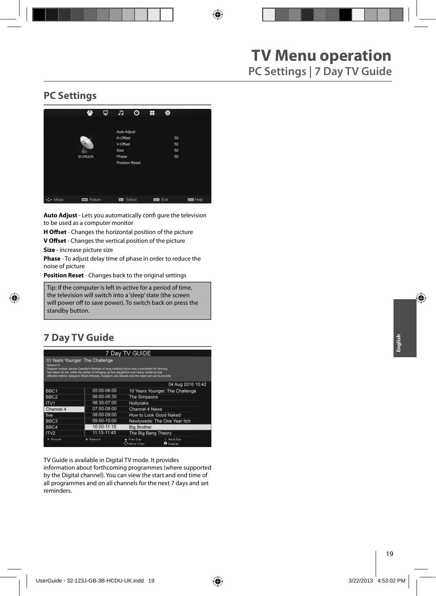### **PC Settings**



**Auto Adjust** - Lets you automatically confi gure the television to be used as a computer monitor

**H Offset** - Changes the horizontal position of the picture

**V Offset** - Changes the vertical position of the picture

**Size** - increase picture size

**Phase** - To adjust delay time of phase in order to reduce the noise of picture

**Position Reset** - Changes back to the original settings

Tip: If the computer is left in-active for a period of time, the television will switch into a 'sleep' state (the screen  $\vert$  will power off to save power). To switch back on press the **Postandby button. Position Reset in the original settings** 

### **7 Day TV Guide**

|                  |                                                                                                                                                                                                                                                                                                                         | 7 Day TV GUIDE                 |                                 |
|------------------|-------------------------------------------------------------------------------------------------------------------------------------------------------------------------------------------------------------------------------------------------------------------------------------------------------------------------|--------------------------------|---------------------------------|
| Season 2         | 10 Years Younger: The Challenge<br>Support worker Janice Cassidy's lifestyle of long working hours and a penchant for tanning<br>has taken its toll, while the stress of bringing up two daughters and heavy smoking has<br>affected interior designer Shere Morady. Surgeon Jan Stanek and the team set out to provide |                                |                                 |
|                  |                                                                                                                                                                                                                                                                                                                         |                                | 04 Aug 2010 10:42               |
| BBC <sub>1</sub> | 05:00-06:00                                                                                                                                                                                                                                                                                                             |                                | 10 Years Younger: The Challenge |
| BBC <sub>2</sub> | 06:00-06:30                                                                                                                                                                                                                                                                                                             | The Simpsons                   |                                 |
| ITV1             | 06:30-07:00                                                                                                                                                                                                                                                                                                             | Hollyoaks                      |                                 |
| Channel 4        | 07:00-08:00                                                                                                                                                                                                                                                                                                             | Channel 4 News                 |                                 |
| five             | 08:00-09:00                                                                                                                                                                                                                                                                                                             |                                | How to Look Good Naked          |
| BBC <sub>3</sub> | 09:00-10:00                                                                                                                                                                                                                                                                                                             |                                | Newlyweds: The One Year Itch    |
| BBC4             | 10:00-11:15                                                                                                                                                                                                                                                                                                             | <b>Big Brother</b>             |                                 |
| ITV <sub>2</sub> | 11:15-11:45                                                                                                                                                                                                                                                                                                             | The Big Bang Theory            |                                 |
| * Record         | Remind                                                                                                                                                                                                                                                                                                                  | Prev.Day<br><b>Chaire View</b> | Next Day<br><b>O</b> Diretay    |

TV Guide is available in Digital TV mode. It provides

information about forthcoming programmes (where supported by the Digital channel). You can view the start and end time of all programmes and on all channels for the next 7 days and set reminders.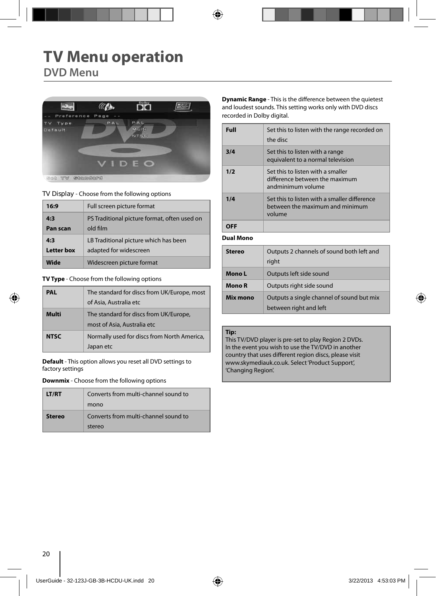## **TV Menu operation DVD Menu**



**TV Display** - Choose from the following options

| 16:9              | Full screen picture format                   |
|-------------------|----------------------------------------------|
| 4:3               | PS Traditional picture format, often used on |
| Pan scan          | old film                                     |
| 4:3               | LB Traditional picture which has been        |
| <b>Letter box</b> | adapted for widescreen                       |
| Wide              | Widescreen picture format                    |

**TV Type** - Choose from the following options

| <b>PAL</b>  | The standard for discs from UK/Europe, most<br>of Asia, Australia etc |
|-------------|-----------------------------------------------------------------------|
| Multi       | The standard for discs from UK/Europe,<br>most of Asia, Australia etc |
| <b>NTSC</b> | Normally used for discs from North America,<br>Japan etc              |

**Default** - This option allows you reset all DVD settings to factory settings

**Downmix** - Choose from the following options

| <b>LT/RT</b> | Converts from multi-channel sound to<br>mono   |
|--------------|------------------------------------------------|
| stereo       | Converts from multi-channel sound to<br>stereo |

**Dynamic Range** - This is the difference between the quietest and loudest sounds. This setting works only with DVD discs recorded in Dolby digital.

| Full             | Set this to listen with the range recorded on<br>the disc                                 |
|------------------|-------------------------------------------------------------------------------------------|
| 3/4              | Set this to listen with a range<br>equivalent to a normal television                      |
| 1/2              | Set this to listen with a smaller<br>difference between the maximum<br>andminimum volume  |
| 1/4              | Set this to listen with a smaller difference<br>between the maximum and minimum<br>volume |
| OFF              |                                                                                           |
| <b>Dual Mono</b> |                                                                                           |

| Stereo   | Outputs 2 channels of sound both left and<br>right                  |
|----------|---------------------------------------------------------------------|
| Mono L   | Outputs left side sound                                             |
| Mono R   | Outputs right side sound                                            |
| Mix mono | Outputs a single channel of sound but mix<br>between right and left |

#### **Tip:**

This TV/DVD player is pre-set to play Region 2 DVDs. In the event you wish to use the TV/DVD in another country that uses different region discs, please visit www.skymediauk.co.uk. Select 'Product Support', 'Changing Region'.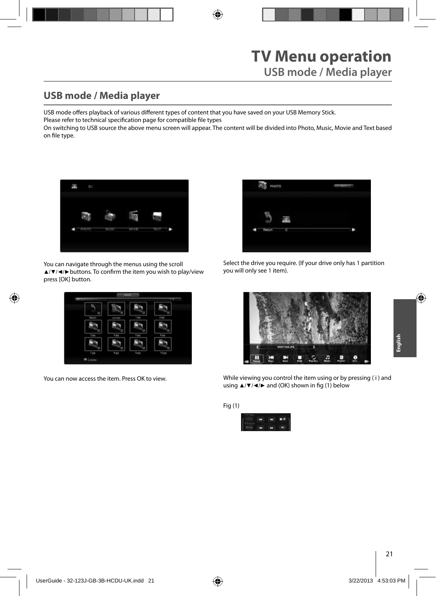## **USB mode / Media player**

USB mode offers playback of various different types of content that you have saved on your USB Memory Stick.

Please refer to technical specification page for compatible file types

On switching to USB source the above menu screen will appear. The content will be divided into Photo, Music, Movie and Text based on file type.



You can navigate through the menus using the scroll ▲/▼/◀/▶buttons. To confirm the item you wish to play/view press [OK] button.



You can now access the item. Press OK to view.



Select the drive you require. (If your drive only has 1 partition you will only see 1 item).



While viewing you control the item using or by pressing ( i ) and using  $\triangle$ /▼/◀/► and (OK) shown in fig (1) below

Fig (1)

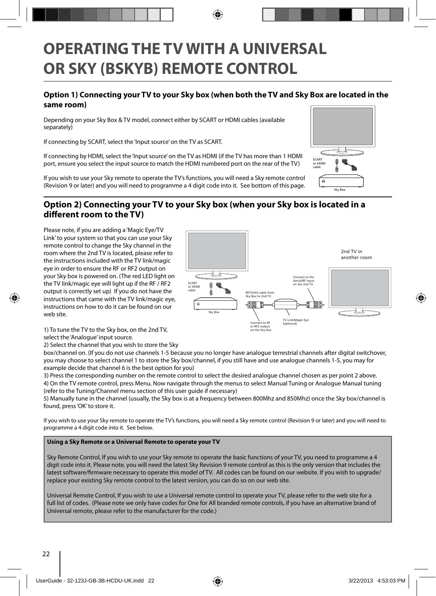# **OPERATING THE TV WITH A UNIVERSAL OR SKY (BSKYB) REMOTE CONTROL**

### **Option 1) Connecting your TV to your Sky box (when both the TV and Sky Box are located in the same room)**

Depending on your Sky Box & TV model, connect either by SCART or HDMI cables (available separately)

If connecting by SCART, select the 'Input source' on the TV as SCART.

If connecting by HDMI, select the 'Input source' on the TV as HDMI (if the TV has more than 1 HDMI port, ensure you select the input source to match the HDMI numbered port on the rear of the TV)

If you wish to use your Sky remote to operate the TV's functions, you will need a Sky remote control (Revision 9 or later) and you will need to programme a 4 digit code into it. See bottom of this page.



### **Option 2) Connecting your TV to your Sky box (when your Sky box is located in a**  different room to the TV)

Please note, if you are adding a 'Magic Eye/TV Link' to your system so that you can use your Sky remote control to change the Sky channel in the room where the 2nd TV is located, please refer to the instructions included with the TV link/magic eye in order to ensure the RF or RF2 output on your Sky box is powered on. (The red LED light on the TV link/magic eye will light up if the RF / RF2 output is correctly set up) If you do not have the instructions that came with the TV link/magic eye, instructions on how to do it can be found on our web site.



1) To tune the TV to the Sky box, on the 2nd TV, select the 'Analogue' input source.

2) Select the channel that you wish to store the Sky

box/channel on. (If you do not use channels 1-5 because you no longer have analogue terrestrial channels after digital switchover, you may choose to select channel 1 to store the Sky box/channel, if you still have and use analogue channels 1-5, you may for example decide that channel 6 is the best option for you)

3) Press the corresponding number on the remote control to select the desired analogue channel chosen as per point 2 above. 4) On the TV remote control, press Menu. Now navigate through the menus to select Manual Tuning or Analogue Manual tuning (refer to the Tuning/Channel menu section of this user guide if necessary)

5) Manually tune in the channel (usually, the Sky box is at a frequency between 800Mhz and 850Mhz) once the Sky box/channel is found, press 'OK' to store it.

If you wish to use your Sky remote to operate the TV's functions, you will need a Sky remote control (Revision 9 or later) and you will need to programme a 4 digit code into it. See below.

#### **Using a Sky Remote or a Universal Remote to operate your TV**

Sky Remote Control, If you wish to use your Sky remote to operate the basic functions of your TV, you need to programme a 4 digit code into it. Please note. you will need the latest Sky Revision 9 remote control as this is the only version that includes the latest software/firmware necessary to operate this model of TV. All codes can be found on our website. If you wish to upgrade/ replace your existing Sky remote control to the latest version, you can do so on our web site.

Universal Remote Control, If you wish to use a Universal remote control to operate your TV, please refer to the web site for a full list of codes. (Please note we only have codes for One for All branded remote controls, if you have an alternative brand of Universal remote, please refer to the manufacturer for the code.)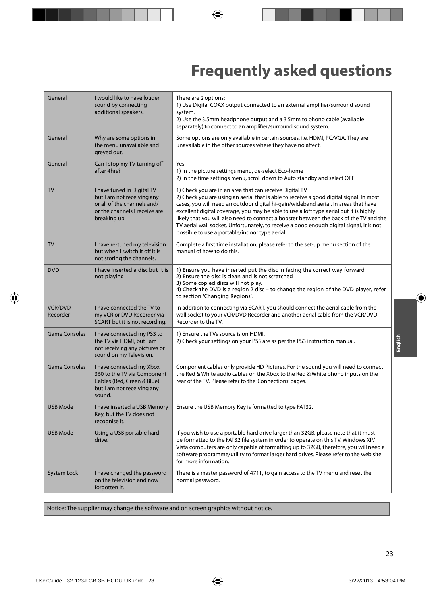# **Frequently asked questions**

| General                    | I would like to have louder<br>sound by connecting<br>additional speakers.                                                               | There are 2 options:<br>1) Use Digital COAX output connected to an external amplifier/surround sound<br>system.<br>2) Use the 3.5mm headphone output and a 3.5mm to phono cable (available<br>separately) to connect to an amplifier/surround sound system.                                                                                                                                                                                                                                                                                                                  |
|----------------------------|------------------------------------------------------------------------------------------------------------------------------------------|------------------------------------------------------------------------------------------------------------------------------------------------------------------------------------------------------------------------------------------------------------------------------------------------------------------------------------------------------------------------------------------------------------------------------------------------------------------------------------------------------------------------------------------------------------------------------|
| General                    | Why are some options in<br>the menu unavailable and<br>greyed out.                                                                       | Some options are only available in certain sources, i.e. HDMI, PC/VGA. They are<br>unavailable in the other sources where they have no affect.                                                                                                                                                                                                                                                                                                                                                                                                                               |
| General                    | Can I stop my TV turning off<br>after 4hrs?                                                                                              | Yes<br>1) In the picture settings menu, de-select Eco-home<br>2) In the time settings menu, scroll down to Auto standby and select OFF                                                                                                                                                                                                                                                                                                                                                                                                                                       |
| <b>TV</b>                  | I have tuned in Digital TV<br>but I am not receiving any<br>or all of the channels and/<br>or the channels I receive are<br>breaking up. | 1) Check you are in an area that can receive Digital TV.<br>2) Check you are using an aerial that is able to receive a good digital signal. In most<br>cases, you will need an outdoor digital hi-gain/wideband aerial. In areas that have<br>excellent digital coverage, you may be able to use a loft type aerial but it is highly<br>likely that you will also need to connect a booster between the back of the TV and the<br>TV aerial wall socket. Unfortunately, to receive a good enough digital signal, it is not<br>possible to use a portable/indoor type aerial. |
| <b>TV</b>                  | I have re-tuned my television<br>but when I switch it off it is<br>not storing the channels.                                             | Complete a first time installation, please refer to the set-up menu section of the<br>manual of how to do this.                                                                                                                                                                                                                                                                                                                                                                                                                                                              |
| <b>DVD</b>                 | I have inserted a disc but it is<br>not playing                                                                                          | 1) Ensure you have inserted put the disc in facing the correct way forward<br>2) Ensure the disc is clean and is not scratched<br>3) Some copied discs will not play.<br>4) Check the DVD is a region 2 disc – to change the region of the DVD player, refer<br>to section 'Changing Regions'.                                                                                                                                                                                                                                                                               |
| <b>VCR/DVD</b><br>Recorder | I have connected the TV to<br>my VCR or DVD Recorder via<br>SCART but it is not recording.                                               | In addition to connecting via SCART, you should connect the aerial cable from the<br>wall socket to your VCR/DVD Recorder and another aerial cable from the VCR/DVD<br>Recorder to the TV.                                                                                                                                                                                                                                                                                                                                                                                   |
| <b>Game Consoles</b>       | I have connected my PS3 to<br>the TV via HDMI, but I am<br>not receiving any pictures or<br>sound on my Television.                      | 1) Ensure the TVs source is on HDMI.<br>2) Check your settings on your PS3 are as per the PS3 instruction manual.                                                                                                                                                                                                                                                                                                                                                                                                                                                            |
| <b>Game Consoles</b>       | I have connected my Xbox<br>360 to the TV via Component<br>Cables (Red, Green & Blue)<br>but I am not receiving any<br>sound.            | Component cables only provide HD Pictures. For the sound you will need to connect<br>the Red & White audio cables on the Xbox to the Red & White phono inputs on the<br>rear of the TV. Please refer to the 'Connections' pages.                                                                                                                                                                                                                                                                                                                                             |
| <b>USB Mode</b>            | I have inserted a USB Memory<br>Key, but the TV does not<br>recognise it.                                                                | Ensure the USB Memory Key is formatted to type FAT32.                                                                                                                                                                                                                                                                                                                                                                                                                                                                                                                        |
| <b>USB Mode</b>            | Using a USB portable hard<br>drive.                                                                                                      | If you wish to use a portable hard drive larger than 32GB, please note that it must<br>be formatted to the FAT32 file system in order to operate on this TV. Windows XP/<br>Vista computers are only capable of formatting up to 32GB, therefore, you will need a<br>software programme/utility to format larger hard drives. Please refer to the web site<br>for more information.                                                                                                                                                                                          |
| System Lock                | I have changed the password<br>on the television and now<br>forgotten it.                                                                | There is a master password of 4711, to gain access to the TV menu and reset the<br>normal password.                                                                                                                                                                                                                                                                                                                                                                                                                                                                          |

Notice: The supplier may change the software and on screen graphics without notice.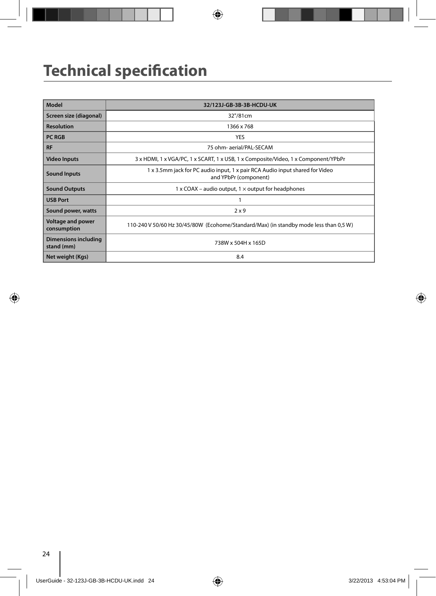# **Technical specification**

| Model                                     | 32/123J-GB-3B-3B-HCDU-UK                                                                              |
|-------------------------------------------|-------------------------------------------------------------------------------------------------------|
| Screen size (diagonal)                    | 32"/81cm                                                                                              |
| <b>Resolution</b>                         | 1366 x 768                                                                                            |
| <b>PC RGB</b>                             | <b>YES</b>                                                                                            |
| <b>RF</b>                                 | 75 ohm- aerial/PAL-SECAM                                                                              |
| <b>Video Inputs</b>                       | 3 x HDMI, 1 x VGA/PC, 1 x SCART, 1 x USB, 1 x Composite/Video, 1 x Component/YPbPr                    |
| <b>Sound Inputs</b>                       | 1 x 3.5mm jack for PC audio input, 1 x pair RCA Audio input shared for Video<br>and YPbPr (component) |
| <b>Sound Outputs</b>                      | 1 x COAX – audio output, $1 \times$ output for headphones                                             |
| <b>USB Port</b>                           |                                                                                                       |
| Sound power, watts                        | 2x9                                                                                                   |
| <b>Voltage and power</b><br>consumption   | 110-240 V 50/60 Hz 30/45/80W (Ecohome/Standard/Max) (in standby mode less than 0,5 W)                 |
| <b>Dimensions including</b><br>stand (mm) | 738W x 504H x 165D                                                                                    |
| Net weight (Kgs)                          | 8.4                                                                                                   |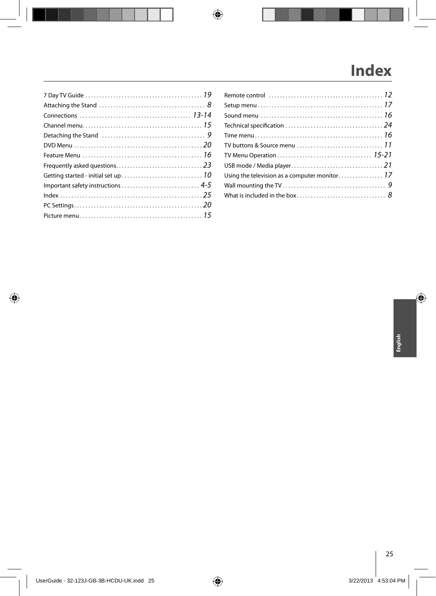# **Index**

| Technical specification $\ldots \ldots \ldots \ldots \ldots \ldots \ldots \ldots \ldots 24$  |
|----------------------------------------------------------------------------------------------|
|                                                                                              |
| TV buttons & Source menu $\ldots \ldots \ldots \ldots \ldots \ldots \ldots \ldots \ldots 11$ |
|                                                                                              |
|                                                                                              |
|                                                                                              |
|                                                                                              |
|                                                                                              |
|                                                                                              |